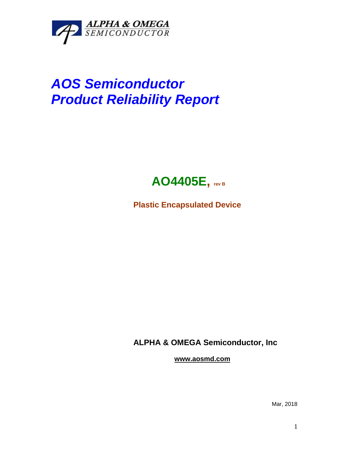

## *AOS Semiconductor Product Reliability Report*



**Plastic Encapsulated Device**

**ALPHA & OMEGA Semiconductor, Inc**

**www.aosmd.com**

Mar, 2018